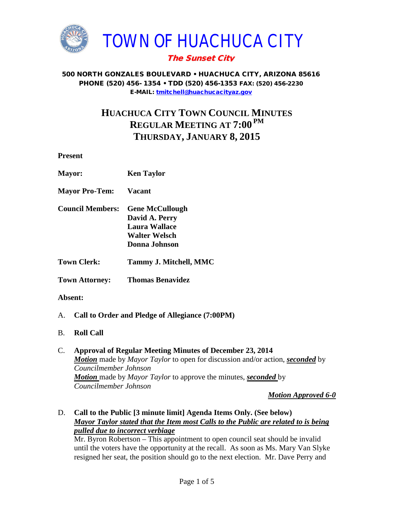

## The Sunset City

#### 500 NORTH GONZALES BOULEVARD • HUACHUCA CITY, ARIZONA 85616 PHONE (520) 456- 1354 • TDD (520) 456-1353 FAX: (520) 456-2230 E-MAIL: [tmitchell@huachucacityaz.gov](mailto:tmitchell@huachucacityaz.gov)

# **HUACHUCA CITY TOWN COUNCIL MINUTES REGULAR MEETING AT 7:00 PM THURSDAY, JANUARY 8, 2015**

**Present**

| <b>Mayor:</b>                                         | <b>Ken Taylor</b>                                                                                         |
|-------------------------------------------------------|-----------------------------------------------------------------------------------------------------------|
| <b>Mayor Pro-Tem:</b>                                 | <b>Vacant</b>                                                                                             |
| <b>Council Members:</b>                               | <b>Gene McCullough</b><br>David A. Perry<br><b>Laura Wallace</b><br><b>Walter Welsch</b><br>Donna Johnson |
| <b>Town Clerk:</b>                                    | Tammy J. Mitchell, MMC                                                                                    |
| <b>Town Attorney:</b>                                 | <b>Thomas Benavidez</b>                                                                                   |
| Absent:                                               |                                                                                                           |
| Call to Order and Pledge of Allegiance (7:00PM)<br>A. |                                                                                                           |

- B. **Roll Call**
- C. **Approval of Regular Meeting Minutes of December 23, 2014**  *Motion* made by *Mayor Taylor* to open for discussion and/or action, *seconded* by *Councilmember Johnson Motion* made by *Mayor Taylor* to approve the minutes, *seconded* by *Councilmember Johnson*

*Motion Approved 6-0*

D. **Call to the Public [3 minute limit] Agenda Items Only. (See below)** *Mayor Taylor stated that the Item most Calls to the Public are related to is being pulled due to incorrect verbiage*

Mr. Byron Robertson – This appointment to open council seat should be invalid until the voters have the opportunity at the recall. As soon as Ms. Mary Van Slyke resigned her seat, the position should go to the next election. Mr. Dave Perry and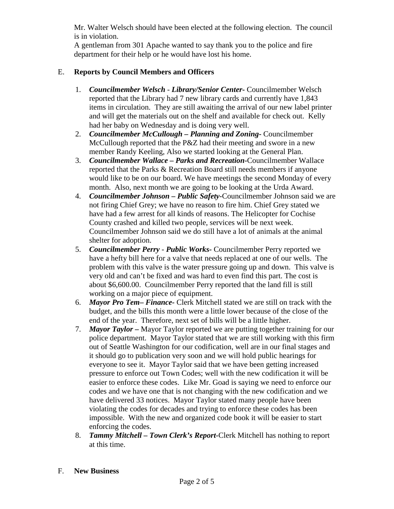Mr. Walter Welsch should have been elected at the following election. The council is in violation.

A gentleman from 301 Apache wanted to say thank you to the police and fire department for their help or he would have lost his home.

## E. **Reports by Council Members and Officers**

- 1. *Councilmember Welsch - Library/Senior Center***-** Councilmember Welsch reported that the Library had 7 new library cards and currently have 1,843 items in circulation. They are still awaiting the arrival of our new label printer and will get the materials out on the shelf and available for check out. Kelly had her baby on Wednesday and is doing very well.
- 2. *Councilmember McCullough* **–** *Planning and Zoning-* Councilmember McCullough reported that the P&Z had their meeting and swore in a new member Randy Keeling, Also we started looking at the General Plan.
- 3. *Councilmember Wallace* **–** *Parks and Recreation***-**Councilmember Wallace reported that the Parks & Recreation Board still needs members if anyone would like to be on our board. We have meetings the second Monday of every month. Also, next month we are going to be looking at the Urda Award.
- 4. *Councilmember Johnson – Public Safety-*Councilmember Johnson said we are not firing Chief Grey; we have no reason to fire him. Chief Grey stated we have had a few arrest for all kinds of reasons. The Helicopter for Cochise County crashed and killed two people, services will be next week. Councilmember Johnson said we do still have a lot of animals at the animal shelter for adoption.
- 5. *Councilmember Perry Public Works-* Councilmember Perry reported we have a hefty bill here for a valve that needs replaced at one of our wells. The problem with this valve is the water pressure going up and down. This valve is very old and can't be fixed and was hard to even find this part. The cost is about \$6,600.00. Councilmember Perry reported that the land fill is still working on a major piece of equipment.
- 6. *Mayor Pro Tem***–** *Finance-* Clerk Mitchell stated we are still on track with the budget, and the bills this month were a little lower because of the close of the end of the year. Therefore, next set of bills will be a little higher.
- 7. *Mayor Taylor –* Mayor Taylor reported we are putting together training for our police department. Mayor Taylor stated that we are still working with this firm out of Seattle Washington for our codification, well are in our final stages and it should go to publication very soon and we will hold public hearings for everyone to see it. Mayor Taylor said that we have been getting increased pressure to enforce out Town Codes; well with the new codification it will be easier to enforce these codes. Like Mr. Goad is saying we need to enforce our codes and we have one that is not changing with the new codification and we have delivered 33 notices. Mayor Taylor stated many people have been violating the codes for decades and trying to enforce these codes has been impossible. With the new and organized code book it will be easier to start enforcing the codes.
- 8. *Tammy Mitchell – Town Clerk's Report-*Clerk Mitchell has nothing to report at this time.

#### F. **New Business**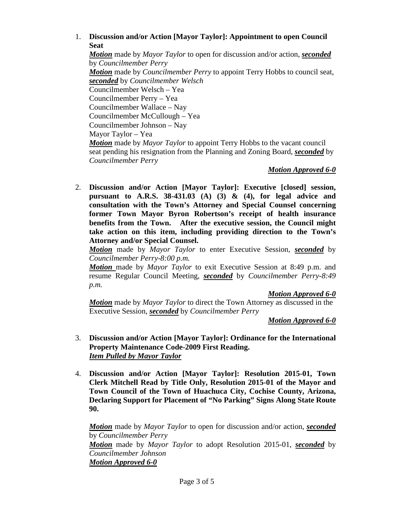## 1. **Discussion and/or Action [Mayor Taylor]: Appointment to open Council Seat**

*Motion* made by *Mayor Taylor* to open for discussion and/or action, *seconded* by *Councilmember Perry Motion* made by *Councilmember Perry* to appoint Terry Hobbs to council seat, *seconded* by *Councilmember Welsch* Councilmember Welsch – Yea Councilmember Perry – Yea Councilmember Wallace – Nay Councilmember McCullough – Yea Councilmember Johnson – Nay Mayor Taylor – Yea *Motion* made by *Mayor Taylor* to appoint Terry Hobbs to the vacant council seat pending his resignation from the Planning and Zoning Board, *seconded* by *Councilmember Perry*

### *Motion Approved 6-0*

2. **Discussion and/or Action [Mayor Taylor]: Executive [closed] session, pursuant to A.R.S. 38-431.03 (A) (3) & (4), for legal advice and consultation with the Town's Attorney and Special Counsel concerning former Town Mayor Byron Robertson's receipt of health insurance benefits from the Town. After the executive session, the Council might take action on this item, including providing direction to the Town's Attorney and/or Special Counsel.**

*Motion* made by *Mayor Taylor* to enter Executive Session, *seconded* by *Councilmember Perry-8:00 p.m.*

*Motion* made by *Mayor Taylor* to exit Executive Session at 8:49 p.m. and resume Regular Council Meeting, *seconded* by *Councilmember Perry-8:49 p.m.*

### *Motion Approved 6-0*

*Motion* made by *Mayor Taylor* to direct the Town Attorney as discussed in the Executive Session, *seconded* by *Councilmember Perry*

*Motion Approved 6-0*

- 3. **Discussion and/or Action [Mayor Taylor]: Ordinance for the International Property Maintenance Code-2009 First Reading.**  *Item Pulled by Mayor Taylor*
- 4. **Discussion and/or Action [Mayor Taylor]: Resolution 2015-01, Town Clerk Mitchell Read by Title Only, Resolution 2015-01 of the Mayor and Town Council of the Town of Huachuca City, Cochise County, Arizona, Declaring Support for Placement of "No Parking" Signs Along State Route 90.**

*Motion* made by *Mayor Taylor* to open for discussion and/or action, *seconded* by *Councilmember Perry Motion* made by *Mayor Taylor* to adopt Resolution 2015-01, *seconded* by *Councilmember Johnson Motion Approved 6-0*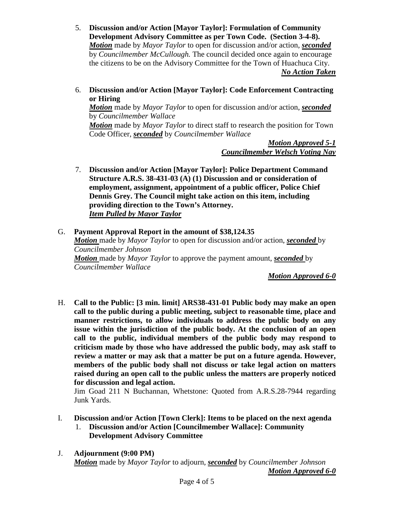- 5. **Discussion and/or Action [Mayor Taylor]: Formulation of Community Development Advisory Committee as per Town Code. (Section 3-4-8).**  *Motion* made by *Mayor Taylor* to open for discussion and/or action, *seconded* by *Councilmember McCullough.* The council decided once again to encourage the citizens to be on the Advisory Committee for the Town of Huachuca City. *No Action Taken*
- 6. **Discussion and/or Action [Mayor Taylor]: Code Enforcement Contracting or Hiring**

*Motion* made by *Mayor Taylor* to open for discussion and/or action, *seconded* by *Councilmember Wallace*

*Motion* made by *Mayor Taylor* to direct staff to research the position for Town Code Officer, *seconded* by *Councilmember Wallace*

> *Motion Approved 5-1 Councilmember Welsch Voting Nay*

7. **Discussion and/or Action [Mayor Taylor]: Police Department Command Structure A.R.S. 38-431-03 (A) (1) Discussion and or consideration of employment, assignment, appointment of a public officer, Police Chief Dennis Grey. The Council might take action on this item, including providing direction to the Town's Attorney.** *Item Pulled by Mayor Taylor*

## G. **Payment Approval Report in the amount of \$38,124.35** *Motion* made by *Mayor Taylor* to open for discussion and/or action, *seconded* by *Councilmember Johnson Motion* made by *Mayor Taylor* to approve the payment amount, *seconded* by *Councilmember Wallace*

*Motion Approved 6-0*

H. **Call to the Public: [3 min. limit] ARS38-431-01 Public body may make an open call to the public during a public meeting, subject to reasonable time, place and manner restrictions, to allow individuals to address the public body on any issue within the jurisdiction of the public body. At the conclusion of an open call to the public, individual members of the public body may respond to criticism made by those who have addressed the public body, may ask staff to review a matter or may ask that a matter be put on a future agenda. However, members of the public body shall not discuss or take legal action on matters raised during an open call to the public unless the matters are properly noticed for discussion and legal action.**

Jim Goad 211 N Buchannan, Whetstone: Quoted from A.R.S.28-7944 regarding Junk Yards.

- I. **Discussion and/or Action [Town Clerk]: Items to be placed on the next agenda** 1. **Discussion and/or Action [Councilmember Wallace]: Community Development Advisory Committee**
- J. **Adjournment (9:00 PM)** *Motion* made by *Mayor Taylor* to adjourn, *seconded* by *Councilmember Johnson Motion Approved 6-0*